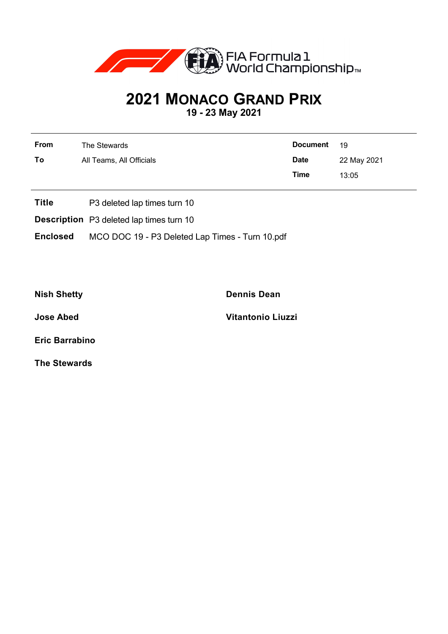

## **2021 MONACO GRAND PRIX**

**19 - 23 May 2021**

| From | The Stewards             | <b>Document</b> | 19          |
|------|--------------------------|-----------------|-------------|
| To   | All Teams, All Officials | <b>Date</b>     | 22 May 2021 |
|      |                          | <b>Time</b>     | 13:05       |

- **Title** P3 deleted lap times turn 10
- **Description** P3 deleted lap times turn 10
- **Enclosed** MCO DOC 19 P3 Deleted Lap Times Turn 10.pdf

**Nish Shetty Dennis Dean**

**Jose Abed Vitantonio Liuzzi**

**Eric Barrabino**

**The Stewards**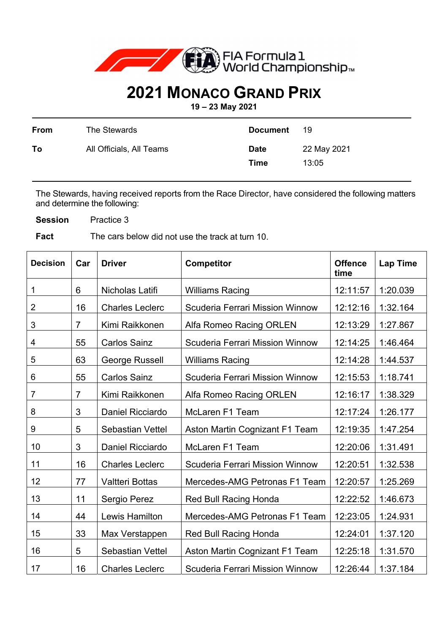

## **2021 MONACO GRAND PRIX**

**19 – 23 May 2021** 

| From | The Stewards             | <b>Document</b>     | 19                   |
|------|--------------------------|---------------------|----------------------|
| To   | All Officials, All Teams | <b>Date</b><br>Time | 22 May 2021<br>13:05 |

The Stewards, having received reports from the Race Director, have considered the following matters and determine the following:

**Session** Practice 3

**Fact** The cars below did not use the track at turn 10.

| <b>Decision</b> | Car            | <b>Driver</b>           | <b>Competitor</b>                      | <b>Offence</b><br>time | <b>Lap Time</b> |
|-----------------|----------------|-------------------------|----------------------------------------|------------------------|-----------------|
| 1               | 6              | Nicholas Latifi         | <b>Williams Racing</b>                 | 12:11:57               | 1:20.039        |
| $\overline{2}$  | 16             | <b>Charles Leclerc</b>  | Scuderia Ferrari Mission Winnow        | 12:12:16               | 1:32.164        |
| 3               | $\overline{7}$ | Kimi Raikkonen          | Alfa Romeo Racing ORLEN                | 12:13:29               | 1:27.867        |
| 4               | 55             | <b>Carlos Sainz</b>     | <b>Scuderia Ferrari Mission Winnow</b> | 12:14:25               | 1:46.464        |
| 5               | 63             | George Russell          | <b>Williams Racing</b>                 | 12:14:28               | 1:44.537        |
| 6               | 55             | <b>Carlos Sainz</b>     | <b>Scuderia Ferrari Mission Winnow</b> | 12:15:53               | 1:18.741        |
| 7               | 7              | Kimi Raikkonen          | Alfa Romeo Racing ORLEN                | 12:16:17               | 1:38.329        |
| 8               | 3              | Daniel Ricciardo        | McLaren F1 Team                        | 12:17:24               | 1:26.177        |
| 9               | 5              | <b>Sebastian Vettel</b> | Aston Martin Cognizant F1 Team         | 12:19:35               | 1:47.254        |
| 10              | 3              | Daniel Ricciardo        | McLaren F1 Team                        | 12:20:06               | 1:31.491        |
| 11              | 16             | <b>Charles Leclerc</b>  | <b>Scuderia Ferrari Mission Winnow</b> | 12:20:51               | 1:32.538        |
| 12              | 77             | <b>Valtteri Bottas</b>  | Mercedes-AMG Petronas F1 Team          | 12:20:57               | 1:25.269        |
| 13              | 11             | Sergio Perez            | <b>Red Bull Racing Honda</b>           | 12:22:52               | 1:46.673        |
| 14              | 44             | <b>Lewis Hamilton</b>   | Mercedes-AMG Petronas F1 Team          | 12:23:05               | 1:24.931        |
| 15              | 33             | Max Verstappen          | <b>Red Bull Racing Honda</b>           | 12:24:01               | 1:37.120        |
| 16              | 5              | <b>Sebastian Vettel</b> | Aston Martin Cognizant F1 Team         | 12:25:18               | 1:31.570        |
| 17              | 16             | <b>Charles Leclerc</b>  | <b>Scuderia Ferrari Mission Winnow</b> | 12:26:44               | 1:37.184        |